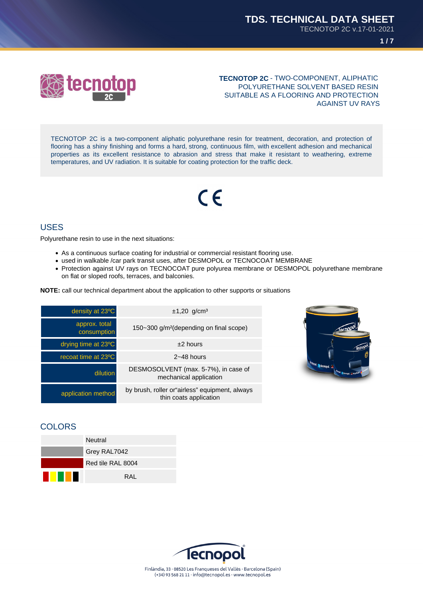



## **TECNOTOP 2C** - TWO-COMPONENT, ALIPHATIC POLYURETHANE SOLVENT BASED RESIN SUITABLE AS A FLOORING AND PROTECTION AGAINST UV RAYS

TECNOTOP 2C is a two-component aliphatic polyurethane resin for treatment, decoration, and protection of flooring has a shiny finishing and forms a hard, strong, continuous film, with excellent adhesion and mechanical properties as its excellent resistance to abrasion and stress that make it resistant to weathering, extreme temperatures, and UV radiation. It is suitable for coating protection for the traffic deck.

# $\epsilon$

# USES

Polyurethane resin to use in the next situations:

- As a continuous surface coating for industrial or commercial resistant flooring use.
- used in walkable /car park transit uses, after DESMOPOL or TECNOCOAT MEMBRANE
- Protection against UV rays on TECNOCOAT pure polyurea membrane or DESMOPOL polyurethane membrane on flat or sloped roofs, terraces, and balconies.

**NOTE:** call our technical department about the application to other supports or situations

| density at 23°C              | $±1,20$ g/cm <sup>3</sup>                                                |
|------------------------------|--------------------------------------------------------------------------|
| approx. total<br>consumption | $150 - 300$ g/m <sup>2</sup> (depending on final scope)                  |
| drying time at 23°C          | $±2$ hours                                                               |
| recoat time at 23°C          | $2 - 48$ hours                                                           |
| dilution                     | DESMOSOLVENT (max. 5-7%), in case of<br>mechanical application           |
| application method           | by brush, roller or airless" equipment, always<br>thin coats application |



# **COLORS**



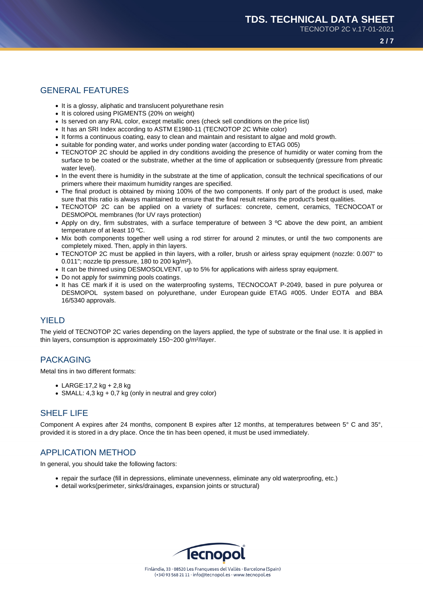## GENERAL FEATURES

- It is a glossy, aliphatic and translucent polyurethane resin
- It is colored using PIGMENTS (20% on weight)
- Is served on any RAL color, except metallic ones (check sell conditions on the price list)
- It has an SRI Index according to ASTM E1980-11 (TECNOTOP 2C White color)
- It forms a continuous coating, easy to clean and maintain and resistant to algae and mold growth.
- suitable for ponding water, and works under ponding water (according to ETAG 005)
- TECNOTOP 2C should be applied in dry conditions avoiding the presence of humidity or water coming from the surface to be coated or the substrate, whether at the time of application or subsequently (pressure from phreatic water level).
- In the event there is humidity in the substrate at the time of application, consult the technical specifications of our primers where their maximum humidity ranges are specified.
- The final product is obtained by mixing 100% of the two components. If only part of the product is used, make sure that this ratio is always maintained to ensure that the final result retains the product's best qualities.
- TECNOTOP 2C can be applied on a variety of surfaces: concrete, cement, ceramics, TECNOCOAT or DESMOPOL membranes (for UV rays protection)
- Apply on dry, firm substrates, with a surface temperature of between 3 ºC above the dew point, an ambient temperature of at least 10 ºC.
- Mix both components together well using a rod stirrer for around 2 minutes, or until the two components are completely mixed. Then, apply in thin layers.
- TECNOTOP 2C must be applied in thin layers, with a roller, brush or airless spray equipment (nozzle: 0.007" to 0.011"; nozzle tip pressure, 180 to 200 kg/m²).
- It can be thinned using DESMOSOLVENT, up to 5% for applications with airless spray equipment.
- Do not apply for swimming pools coatings.
- It has CE mark if it is used on the waterproofing systems, TECNOCOAT P-2049, based in pure polyurea or DESMOPOL system based on polyurethane, under European guide ETAG #005. Under EOTA and BBA 16/5340 approvals.

## YIELD

The yield of TECNOTOP 2C varies depending on the layers applied, the type of substrate or the final use. It is applied in thin layers, consumption is approximately 150~200 g/m²/layer.

## PACKAGING

Metal tins in two different formats:

- LARGE:17,2 kg + 2,8 kg
- SMALL:  $4.3 \text{ kg} + 0.7 \text{ kg}$  (only in neutral and grey color)

## SHELF LIFE

Component A expires after 24 months, component B expires after 12 months, at temperatures between 5° C and 35°, provided it is stored in a dry place. Once the tin has been opened, it must be used immediately.

# APPLICATION METHOD

In general, you should take the following factors:

- repair the surface (fill in depressions, eliminate unevenness, eliminate any old waterproofing, etc.)
- detail works(perimeter, sinks/drainages, expansion joints or structural)

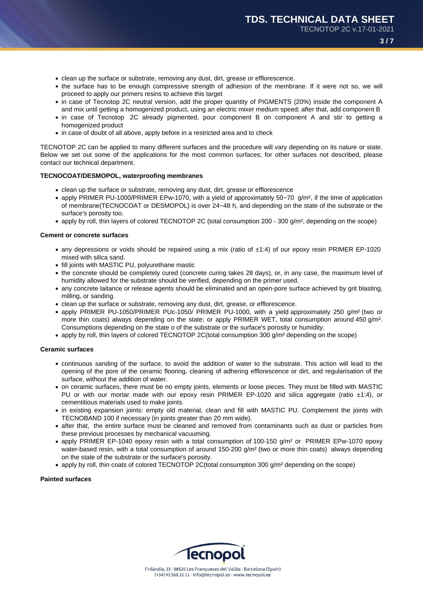- clean up the surface or substrate, removing any dust, dirt, grease or efflorescence.
- the surface has to be enough compressive strength of adhesion of the membrane. If it were not so, we will proceed to apply our primers resins to achieve this target
- in case of Tecnotop 2C neutral version, add the proper quantity of PIGMENTS (20%) inside the component A and mix until getting a homogenized product, using an electric mixer medium speed; after that, add component B
- in case of Tecnotop 2C already pigmented, pour component B on component A and stir to getting a homogenized product
- in case of doubt of all above, apply before in a restricted area and to check

TECNOTOP 2C can be applied to many different surfaces and the procedure will vary depending on its nature or state. Below we set out some of the applications for the most common surfaces; for other surfaces not described, please contact our technical department.

### **TECNOCOAT/DESMOPOL, waterproofing membranes**

- clean up the surface or substrate, removing any dust, dirt, grease or efflorescence
- apply PRIMER PU-1000/PRIMER EPw-1070, with a yield of approximately  $50-70$  g/m<sup>2</sup>, if the time of application of membrane(TECNOCOAT or DESMOPOL) is over 24~48 h, and depending on the state of the substrate or the surface's porosity too.
- apply by roll, thin layers of colored TECNOTOP 2C (total consumption 200 300 g/m², depending on the scope)

#### **Cement or concrete surfaces**

- any depressions or voids should be repaired using a mix (ratio of  $\pm$ 1:4) of our epoxy resin PRIMER EP-1020 mixed with silica sand.
- fill joints with MASTIC PU, polyurethane mastic
- the concrete should be completely cured (concrete curing takes 28 days), or, in any case, the maximum level of humidity allowed for the substrate should be verified, depending on the primer used.
- any concrete laitance or release agents should be eliminated and an open-pore surface achieved by grit blasting, milling, or sanding.
- clean up the surface or substrate, removing any dust, dirt, grease, or efflorescence.
- apply PRIMER PU-1050/PRIMER PUc-1050/ PRIMER PU-1000, with a yield approximately 250 g/m² (two or more thin coats) always depending on the state; or apply PRIMER WET, total consumption around 450 g/m<sup>2</sup>. Consumptions depending on the state o of the substrate or the surface's porosity or humidity.
- apply by roll, thin layers of colored TECNOTOP 2C(total consumption 300 g/m² depending on the scope)

#### **Ceramic surfaces**

- continuous sanding of the surface, to avoid the addition of water to the substrate. This action will lead to the opening of the pore of the ceramic flooring, cleaning of adhering efflorescence or dirt, and regularisation of the surface, without the addition of water.
- on ceramic surfaces, there must be no empty joints, elements or loose pieces. They must be filled with MASTIC PU or with our mortar made with our epoxy resin PRIMER EP-1020 and silica aggregate (ratio  $\pm 1:4$ ), or cementitious materials used to make joints.
- in existing expansion joints: empty old material, clean and fill with MASTIC PU. Complement the joints with TECNOBAND 100 if necessary (in joints greater than 20 mm wide).
- after that, the entire surface must be cleaned and removed from contaminants such as dust or particles from these previous processes by mechanical vacuuming.
- apply PRIMER EP-1040 epoxy resin with a total consumption of 100-150 g/m² or PRIMER EPw-1070 epoxy water-based resin, with a total consumption of around 150-200 g/m<sup>2</sup> (two or more thin coats) always depending on the state of the substrate or the surface's porosity.
- apply by roll, thin coats of colored TECNOTOP 2C(total consumption 300 g/m<sup>2</sup> depending on the scope)

#### **Painted surfaces**

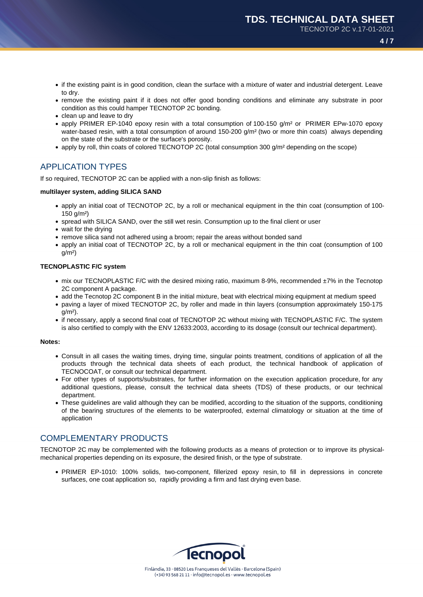- if the existing paint is in good condition, clean the surface with a mixture of water and industrial detergent. Leave to dry.
- remove the existing paint if it does not offer good bonding conditions and eliminate any substrate in poor condition as this could hamper TECNOTOP 2C bonding.
- clean up and leave to dry
- apply PRIMER EP-1040 epoxy resin with a total consumption of 100-150 g/m² or PRIMER EPw-1070 epoxy water-based resin, with a total consumption of around 150-200 g/m<sup>2</sup> (two or more thin coats) always depending on the state of the substrate or the surface's porosity.
- apply by roll, thin coats of colored TECNOTOP 2C (total consumption 300 g/m<sup>2</sup> depending on the scope)

# APPLICATION TYPES

If so required, TECNOTOP 2C can be applied with a non-slip finish as follows:

## **multilayer system, adding SILICA SAND**

- apply an initial coat of TECNOTOP 2C, by a roll or mechanical equipment in the thin coat (consumption of 100- 150 g/m²)
- spread with SILICA SAND, over the still wet resin. Consumption up to the final client or user
- wait for the drying
- remove silica sand not adhered using a broom; repair the areas without bonded sand
- apply an initial coat of TECNOTOP 2C, by a roll or mechanical equipment in the thin coat (consumption of 100  $g/m<sup>2</sup>$

## **TECNOPLASTIC F/C system**

- mix our TECNOPLASTIC F/C with the desired mixing ratio, maximum 8-9%, recommended ±7% in the Tecnotop 2C component A package.
- add the Tecnotop 2C component B in the initial mixture, beat with electrical mixing equipment at medium speed
- paving a layer of mixed TECNOTOP 2C, by roller and made in thin layers (consumption approximately 150-175  $q/m<sup>2</sup>$ ).
- if necessary, apply a second final coat of TECNOTOP 2C without mixing with TECNOPLASTIC F/C. The system is also certified to comply with the ENV 12633:2003, according to its dosage (consult our technical department).

#### **Notes:**

- Consult in all cases the waiting times, drying time, singular points treatment, conditions of application of all the products through the technical data sheets of each product, the technical handbook of application of TECNOCOAT, or consult our technical department.
- For other types of supports/substrates, for further information on the execution application procedure, for any additional questions, please, consult the technical data sheets (TDS) of these products, or our technical department.
- These guidelines are valid although they can be modified, according to the situation of the supports, conditioning of the bearing structures of the elements to be waterproofed, external climatology or situation at the time of application

## COMPLEMENTARY PRODUCTS

TECNOTOP 2C may be complemented with the following products as a means of protection or to improve its physicalmechanical properties depending on its exposure, the desired finish, or the type of substrate.

PRIMER EP-1010: 100% solids, two-component, fillerized epoxy resin, to fill in depressions in concrete surfaces, one coat application so, rapidly providing a firm and fast drying even base.

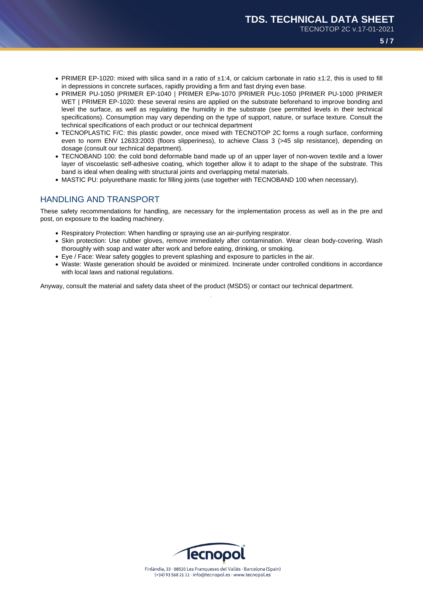- PRIMER EP-1020: mixed with silica sand in a ratio of ±1:4, or calcium carbonate in ratio ±1:2, this is used to fill in depressions in concrete surfaces, rapidly providing a firm and fast drying even base.
- PRIMER PU-1050 |PRIMER EP-1040 | PRIMER EPw-1070 |PRIMER PUc-1050 |PRIMER PU-1000 |PRIMER WET | PRIMER EP-1020: these several resins are applied on the substrate beforehand to improve bonding and level the surface, as well as regulating the humidity in the substrate (see permitted levels in their technical specifications). Consumption may vary depending on the type of support, nature, or surface texture. Consult the technical specifications of each product or our technical department
- TECNOPLASTIC F/C: this plastic powder, once mixed with TECNOTOP 2C forms a rough surface, conforming even to norm ENV 12633:2003 (floors slipperiness), to achieve Class 3 (>45 slip resistance), depending on dosage (consult our technical department).
- TECNOBAND 100: the cold bond deformable band made up of an upper layer of non-woven textile and a lower layer of viscoelastic self-adhesive coating, which together allow it to adapt to the shape of the substrate. This band is ideal when dealing with structural joints and overlapping metal materials.
- MASTIC PU: polyurethane mastic for filling joints (use together with TECNOBAND 100 when necessary).

## HANDLING AND TRANSPORT

These safety recommendations for handling, are necessary for the implementation process as well as in the pre and post, on exposure to the loading machinery.

- Respiratory Protection: When handling or spraying use an air-purifying respirator.
- Skin protection: Use rubber gloves, remove immediately after contamination. Wear clean body-covering. Wash thoroughly with soap and water after work and before eating, drinking, or smoking.
- Eye / Face: Wear safety goggles to prevent splashing and exposure to particles in the air.
- Waste: Waste generation should be avoided or minimized. Incinerate under controlled conditions in accordance with local laws and national regulations.

Anyway, consult the material and safety data sheet of the product (MSDS) or contact our technical department.

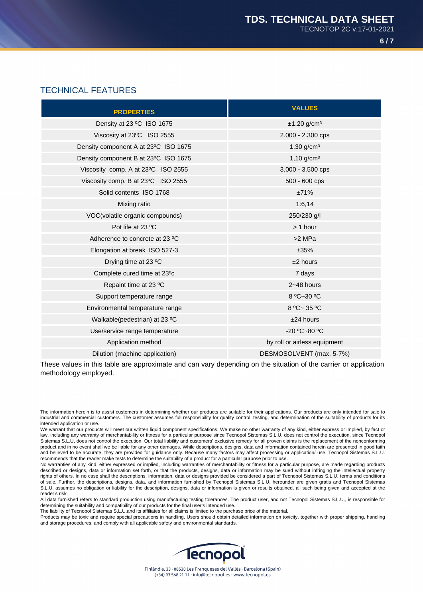# TECHNICAL FEATURES

| <b>PROPERTIES</b>                    | <b>VALUES</b>                |
|--------------------------------------|------------------------------|
| Density at 23 °C ISO 1675            | $±1,20$ g/cm <sup>3</sup>    |
| Viscosity at 23°C ISO 2555           | 2.000 - 2.300 cps            |
| Density component A at 23°C ISO 1675 | $1,30$ g/cm <sup>3</sup>     |
| Density component B at 23°C ISO 1675 | $1,10$ g/cm <sup>3</sup>     |
| Viscosity comp. A at 23°C ISO 2555   | 3.000 - 3.500 cps            |
| Viscosity comp. B at 23°C ISO 2555   | 500 - 600 cps                |
| Solid contents ISO 1768              | ±71%                         |
| Mixing ratio                         | 1:6,14                       |
| VOC(volatile organic compounds)      | 250/230 g/l                  |
| Pot life at 23 °C                    | $> 1$ hour                   |
| Adherence to concrete at 23 °C       | >2 MPa                       |
| Elongation at break ISO 527-3        | ±35%                         |
| Drying time at 23 °C                 | $±2$ hours                   |
| Complete cured time at 23°c          | 7 days                       |
| Repaint time at 23 °C                | $2 - 48$ hours               |
| Support temperature range            | 8 °C~30 °C                   |
| Environmental temperature range      | 8 °C~ 35 °C                  |
| Walkable(pedestrian) at 23 °C        | $±24$ hours                  |
| Use/service range temperature        | -20 °C~80 °C                 |
| Application method                   | by roll or airless equipment |
| Dilution (machine application)       | DESMOSOLVENT (max. 5-7%)     |

These values in this table are approximate and can vary depending on the situation of the carrier or application methodology employed.

Products may be toxic and require special precautions in handling. Users should obtain detailed information on toxicity, together with proper shipping, handling and storage procedures, and comply with all applicable safety and environmental standards.



The information herein is to assist customers in determining whether our products are suitable for their applications. Our products are only intended for sale to industrial and commercial customers. The customer assumes full responsibility for quality control, testing, and determination of the suitability of products for its intended application or use.

We warrant that our products will meet our written liquid component specifications. We make no other warranty of any kind, either express or implied, by fact or law, including any warranty of merchantability or fitness for a particular purpose since Tecnopol Sistemas S.L.U. does not control the execution, since Tecnopol Sistemas S.L.U, does not control the execution. Our total liability and customers' exclusive remedy for all proven claims is the replacement of the nonconforming product and in no event shall we be liable for any other damages. While descriptions, designs, data and information contained herein are presented in good faith and believed to be accurate, they are provided for guidance only. Because many factors may affect processing or application/ use, Tecnopol Sistemas S.L.U. recommends that the reader make tests to determine the suitability of a product for a particular purpose prior to use.

No warranties of any kind, either expressed or implied, including warranties of merchantability or fitness for a particular purpose, are made regarding products described or designs, data or information set forth, or that the products, designs, data or information may be sued without infringing the intellectual property rights of others. In no case shall the descriptions, information, data or designs provided be considered a part of Tecnopol Sistemas S.L.U. terms and conditions of sale. Further, the descriptions, designs, data, and information furnished by Tecnopol Sistemas S.L.U. hereunder are given gratis and Tecnopol Sistemas S.L.U. assumes no obligation or liability for the description, designs, data or information is given or results obtained, all such being given and accepted at the reader's risk.

All data furnished refers to standard production using manufacturing testing tolerances. The product user, and not Tecnopol Sistemas S.L.U., is responsible for determining the suitability and compatibility of our products for the final user's intended use.

The liability of Tecnopol Sistemas S.L.U.and its affiliates for all claims is limited to the purchase price of the material.